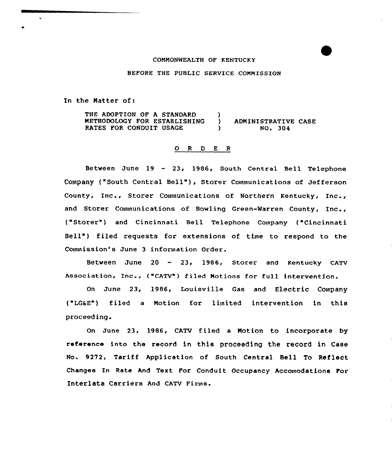## COMMONWEALTH OF KENTUCKY

BEFORE THE PUBLIC SERVICE COMMISSION

In the Natter of:

THE ADOPTION OF A STANDARD METHODOLOGY FOR ESTABLISHING RATES FOR CONDUIT USAGE ) ) ADMINISTRATIVE CASE ) NO <sup>~</sup> 304

## 0 <sup>R</sup> <sup>D</sup> <sup>E</sup> <sup>R</sup>

Between June 19 — 23, 1986, South Central Bell Telephone Company ("South Central Bell"), Storer Communications of Jefferson County, Inc., Storer Communications of Northern Kentucky, Inc., and Storer Communications of Bowling Green-Warren County, Inc., ("Storer") and Cincinnati Bell Telephone Company ("Cincinnati Bell") filed requests for extensions of time to respond to the Commission'8 June 3 information Order.

BetWeen June <sup>20</sup> - 23, 1986, Storer and Kentucky CATV Association, Inc., {"CATV") filed Notions for full intervention.

On June 23, 1986, Louisville Gas and Electric Company {"LG6E") filed a Notion for limited intervention in this proceeding.

On June 23, 1986, CATV filed a Notion to incorporate by reference into the record in this proceeding the record in Case No. 9272, Tariff Application of South Central Bell To Reflect Changes ln Rate And Text For Conduit Occupancy Accomodations For Interlata Carriers And cATv Firms.